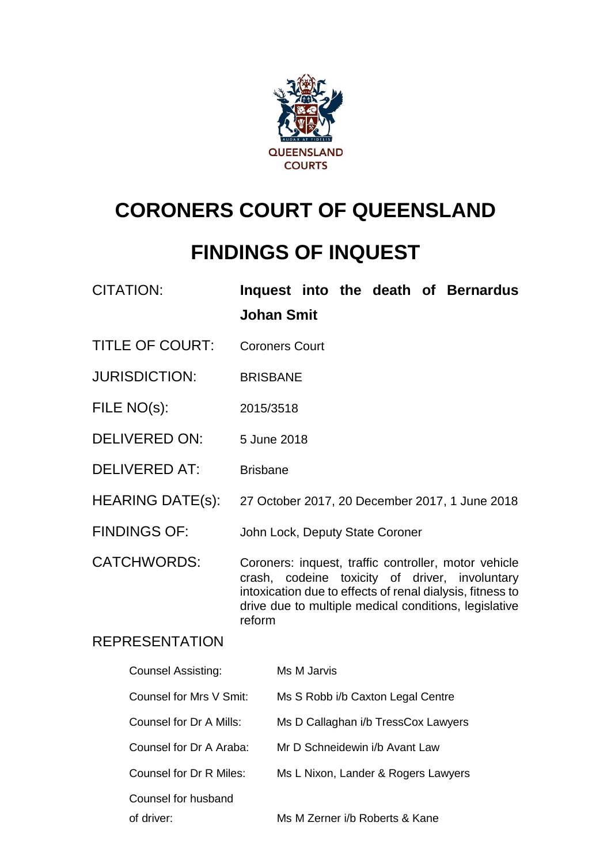

# **CORONERS COURT OF QUEENSLAND**

# **FINDINGS OF INQUEST**

| <b>CITATION:</b> |                   |  |  | Inquest into the death of Bernardus |
|------------------|-------------------|--|--|-------------------------------------|
|                  | <b>Johan Smit</b> |  |  |                                     |

- TITLE OF COURT: Coroners Court
- JURISDICTION: BRISBANE
- FILE NO(s): 2015/3518
- DELIVERED ON: 5 June 2018
- DELIVERED AT: Brisbane
- HEARING DATE(s): 27 October 2017, 20 December 2017, 1 June 2018
- FINDINGS OF: John Lock, Deputy State Coroner

CATCHWORDS: Coroners: inquest, traffic controller, motor vehicle crash, codeine toxicity of driver, involuntary intoxication due to effects of renal dialysis, fitness to drive due to multiple medical conditions, legislative reform

### REPRESENTATION

| <b>Counsel Assisting:</b> | Ms M Jarvis                         |
|---------------------------|-------------------------------------|
| Counsel for Mrs V Smit:   | Ms S Robb i/b Caxton Legal Centre   |
| Counsel for Dr A Mills:   | Ms D Callaghan i/b TressCox Lawyers |
| Counsel for Dr A Araba:   | Mr D Schneidewin i/b Avant Law      |
| Counsel for Dr R Miles:   | Ms L Nixon, Lander & Rogers Lawyers |
| Counsel for husband       |                                     |
| of driver:                | Ms M Zerner i/b Roberts & Kane      |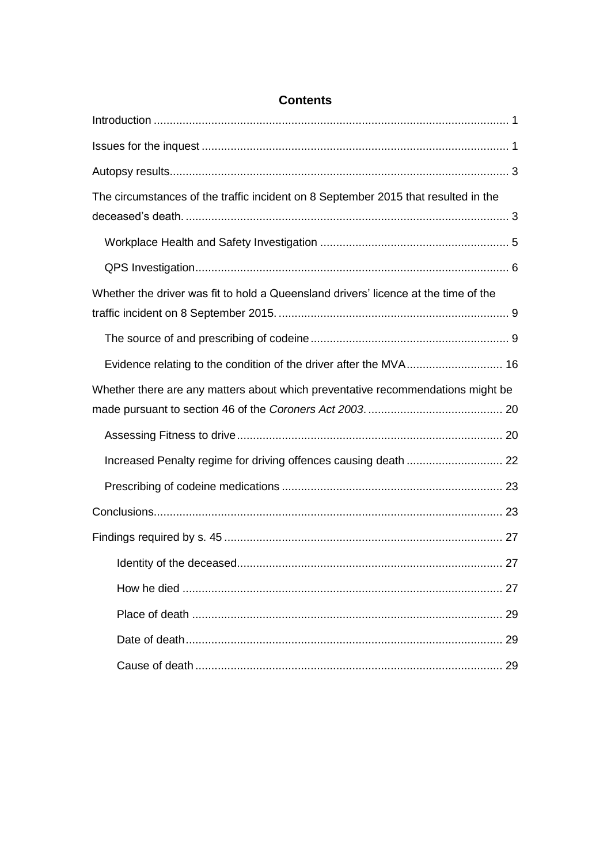| <b>Contents</b>                                                                     |  |  |  |
|-------------------------------------------------------------------------------------|--|--|--|
|                                                                                     |  |  |  |
|                                                                                     |  |  |  |
|                                                                                     |  |  |  |
| The circumstances of the traffic incident on 8 September 2015 that resulted in the  |  |  |  |
|                                                                                     |  |  |  |
|                                                                                     |  |  |  |
| Whether the driver was fit to hold a Queensland drivers' licence at the time of the |  |  |  |
|                                                                                     |  |  |  |
| Evidence relating to the condition of the driver after the MVA 16                   |  |  |  |
| Whether there are any matters about which preventative recommendations might be     |  |  |  |
|                                                                                     |  |  |  |
|                                                                                     |  |  |  |
|                                                                                     |  |  |  |
|                                                                                     |  |  |  |
|                                                                                     |  |  |  |
|                                                                                     |  |  |  |
|                                                                                     |  |  |  |
|                                                                                     |  |  |  |
|                                                                                     |  |  |  |
|                                                                                     |  |  |  |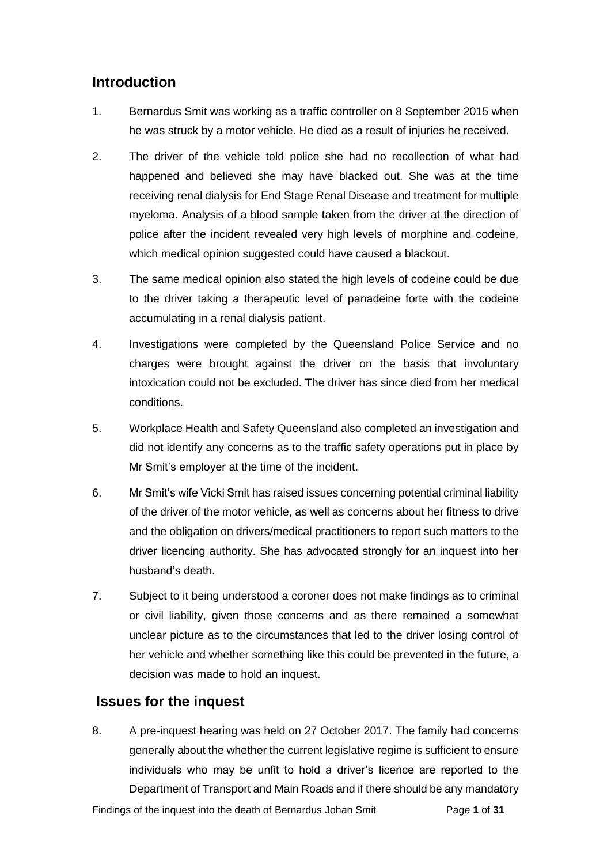### <span id="page-2-0"></span>**Introduction**

- 1. Bernardus Smit was working as a traffic controller on 8 September 2015 when he was struck by a motor vehicle. He died as a result of injuries he received.
- 2. The driver of the vehicle told police she had no recollection of what had happened and believed she may have blacked out. She was at the time receiving renal dialysis for End Stage Renal Disease and treatment for multiple myeloma. Analysis of a blood sample taken from the driver at the direction of police after the incident revealed very high levels of morphine and codeine, which medical opinion suggested could have caused a blackout.
- 3. The same medical opinion also stated the high levels of codeine could be due to the driver taking a therapeutic level of panadeine forte with the codeine accumulating in a renal dialysis patient.
- 4. Investigations were completed by the Queensland Police Service and no charges were brought against the driver on the basis that involuntary intoxication could not be excluded. The driver has since died from her medical conditions.
- 5. Workplace Health and Safety Queensland also completed an investigation and did not identify any concerns as to the traffic safety operations put in place by Mr Smit's employer at the time of the incident.
- 6. Mr Smit's wife Vicki Smit has raised issues concerning potential criminal liability of the driver of the motor vehicle, as well as concerns about her fitness to drive and the obligation on drivers/medical practitioners to report such matters to the driver licencing authority. She has advocated strongly for an inquest into her husband's death.
- 7. Subject to it being understood a coroner does not make findings as to criminal or civil liability, given those concerns and as there remained a somewhat unclear picture as to the circumstances that led to the driver losing control of her vehicle and whether something like this could be prevented in the future, a decision was made to hold an inquest.

## <span id="page-2-1"></span>**Issues for the inquest**

8. A pre-inquest hearing was held on 27 October 2017. The family had concerns generally about the whether the current legislative regime is sufficient to ensure individuals who may be unfit to hold a driver's licence are reported to the Department of Transport and Main Roads and if there should be any mandatory

Findings of the inquest into the death of Bernardus Johan Smit Page **1** of **31**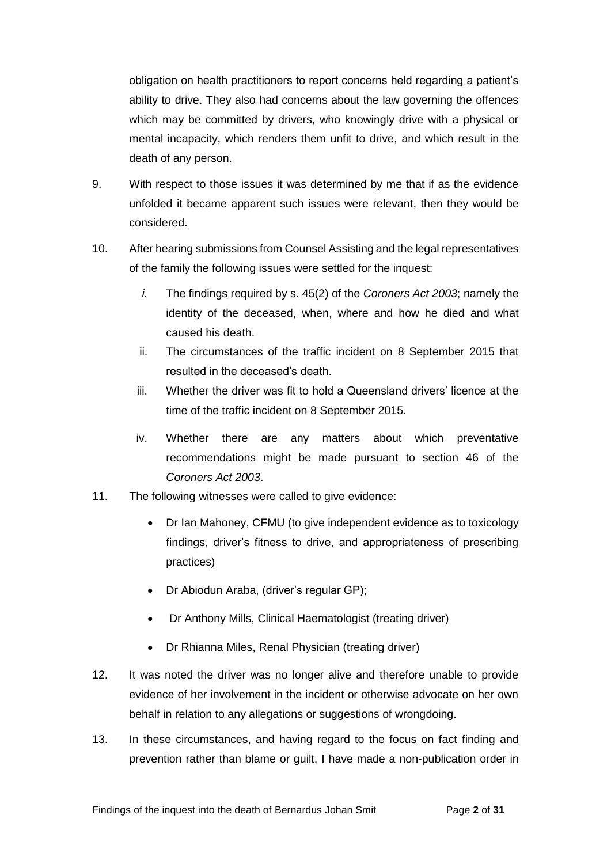obligation on health practitioners to report concerns held regarding a patient's ability to drive. They also had concerns about the law governing the offences which may be committed by drivers, who knowingly drive with a physical or mental incapacity, which renders them unfit to drive, and which result in the death of any person.

- 9. With respect to those issues it was determined by me that if as the evidence unfolded it became apparent such issues were relevant, then they would be considered.
- 10. After hearing submissions from Counsel Assisting and the legal representatives of the family the following issues were settled for the inquest:
	- *i.* The findings required by s. 45(2) of the *Coroners Act 2003*; namely the identity of the deceased, when, where and how he died and what caused his death.
	- ii. The circumstances of the traffic incident on 8 September 2015 that resulted in the deceased's death.
	- iii. Whether the driver was fit to hold a Queensland drivers' licence at the time of the traffic incident on 8 September 2015.
	- iv. Whether there are any matters about which preventative recommendations might be made pursuant to section 46 of the *Coroners Act 2003*.
- 11. The following witnesses were called to give evidence:
	- Dr Ian Mahoney, CFMU (to give independent evidence as to toxicology findings, driver's fitness to drive, and appropriateness of prescribing practices)
	- Dr Abiodun Araba, (driver's regular GP);
	- Dr Anthony Mills, Clinical Haematologist (treating driver)
	- Dr Rhianna Miles, Renal Physician (treating driver)
- 12. It was noted the driver was no longer alive and therefore unable to provide evidence of her involvement in the incident or otherwise advocate on her own behalf in relation to any allegations or suggestions of wrongdoing.
- 13. In these circumstances, and having regard to the focus on fact finding and prevention rather than blame or guilt, I have made a non-publication order in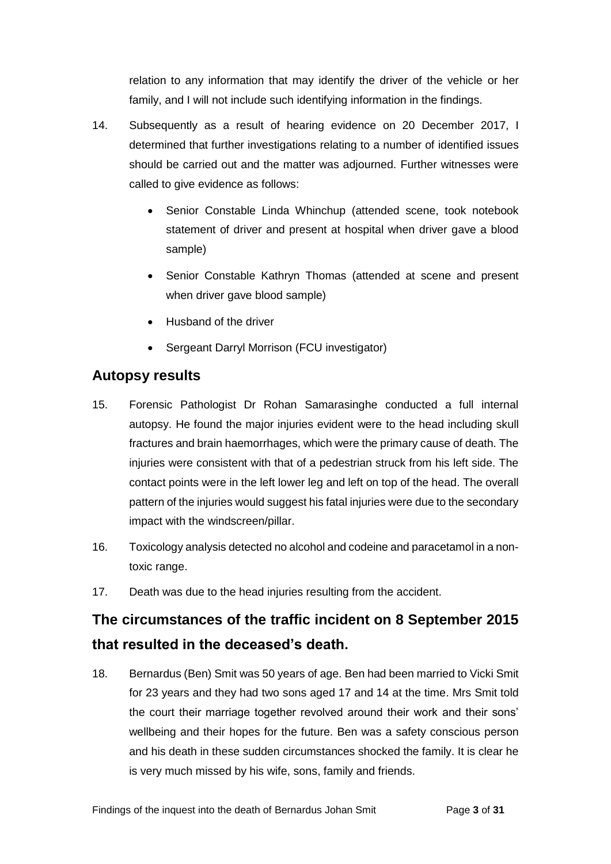relation to any information that may identify the driver of the vehicle or her family, and I will not include such identifying information in the findings.

- 14. Subsequently as a result of hearing evidence on 20 December 2017, I determined that further investigations relating to a number of identified issues should be carried out and the matter was adjourned. Further witnesses were called to give evidence as follows:
	- Senior Constable Linda Whinchup (attended scene, took notebook statement of driver and present at hospital when driver gave a blood sample)
	- Senior Constable Kathryn Thomas (attended at scene and present when driver gave blood sample)
	- Husband of the driver
	- Sergeant Darryl Morrison (FCU investigator)

### <span id="page-4-0"></span>**Autopsy results**

- 15. Forensic Pathologist Dr Rohan Samarasinghe conducted a full internal autopsy. He found the major injuries evident were to the head including skull fractures and brain haemorrhages, which were the primary cause of death. The injuries were consistent with that of a pedestrian struck from his left side. The contact points were in the left lower leg and left on top of the head. The overall pattern of the injuries would suggest his fatal injuries were due to the secondary impact with the windscreen/pillar.
- 16. Toxicology analysis detected no alcohol and codeine and paracetamol in a nontoxic range.
- 17. Death was due to the head injuries resulting from the accident.

# <span id="page-4-1"></span>**The circumstances of the traffic incident on 8 September 2015 that resulted in the deceased's death.**

18. Bernardus (Ben) Smit was 50 years of age. Ben had been married to Vicki Smit for 23 years and they had two sons aged 17 and 14 at the time. Mrs Smit told the court their marriage together revolved around their work and their sons' wellbeing and their hopes for the future. Ben was a safety conscious person and his death in these sudden circumstances shocked the family. It is clear he is very much missed by his wife, sons, family and friends.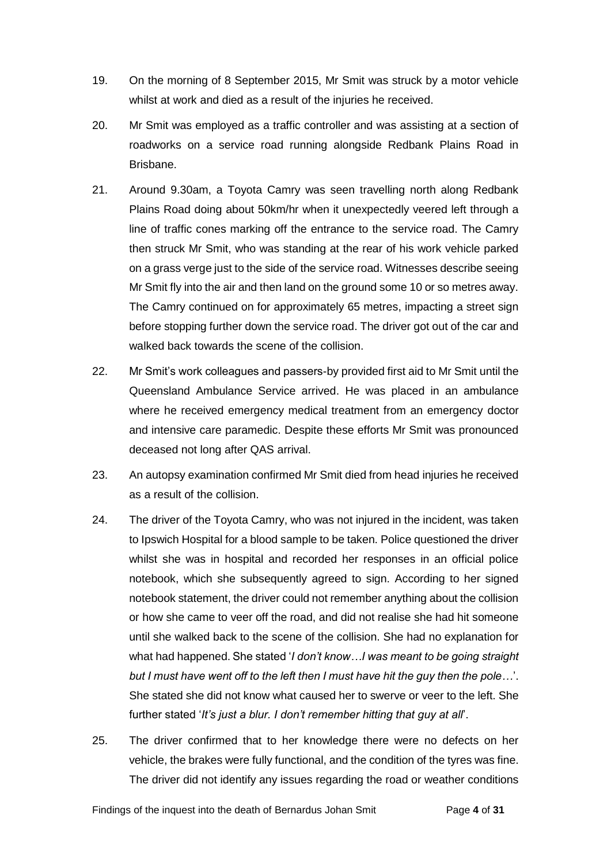- 19. On the morning of 8 September 2015, Mr Smit was struck by a motor vehicle whilst at work and died as a result of the injuries he received.
- 20. Mr Smit was employed as a traffic controller and was assisting at a section of roadworks on a service road running alongside Redbank Plains Road in Brisbane.
- 21. Around 9.30am, a Toyota Camry was seen travelling north along Redbank Plains Road doing about 50km/hr when it unexpectedly veered left through a line of traffic cones marking off the entrance to the service road. The Camry then struck Mr Smit, who was standing at the rear of his work vehicle parked on a grass verge just to the side of the service road. Witnesses describe seeing Mr Smit fly into the air and then land on the ground some 10 or so metres away. The Camry continued on for approximately 65 metres, impacting a street sign before stopping further down the service road. The driver got out of the car and walked back towards the scene of the collision.
- 22. Mr Smit's work colleagues and passers-by provided first aid to Mr Smit until the Queensland Ambulance Service arrived. He was placed in an ambulance where he received emergency medical treatment from an emergency doctor and intensive care paramedic. Despite these efforts Mr Smit was pronounced deceased not long after QAS arrival.
- 23. An autopsy examination confirmed Mr Smit died from head injuries he received as a result of the collision.
- 24. The driver of the Toyota Camry, who was not injured in the incident, was taken to Ipswich Hospital for a blood sample to be taken. Police questioned the driver whilst she was in hospital and recorded her responses in an official police notebook, which she subsequently agreed to sign. According to her signed notebook statement, the driver could not remember anything about the collision or how she came to veer off the road, and did not realise she had hit someone until she walked back to the scene of the collision. She had no explanation for what had happened. She stated '*I don't know…I was meant to be going straight but I must have went off to the left then I must have hit the guy then the pole…*'. She stated she did not know what caused her to swerve or veer to the left. She further stated '*It's just a blur. I don't remember hitting that guy at all*'.
- 25. The driver confirmed that to her knowledge there were no defects on her vehicle, the brakes were fully functional, and the condition of the tyres was fine. The driver did not identify any issues regarding the road or weather conditions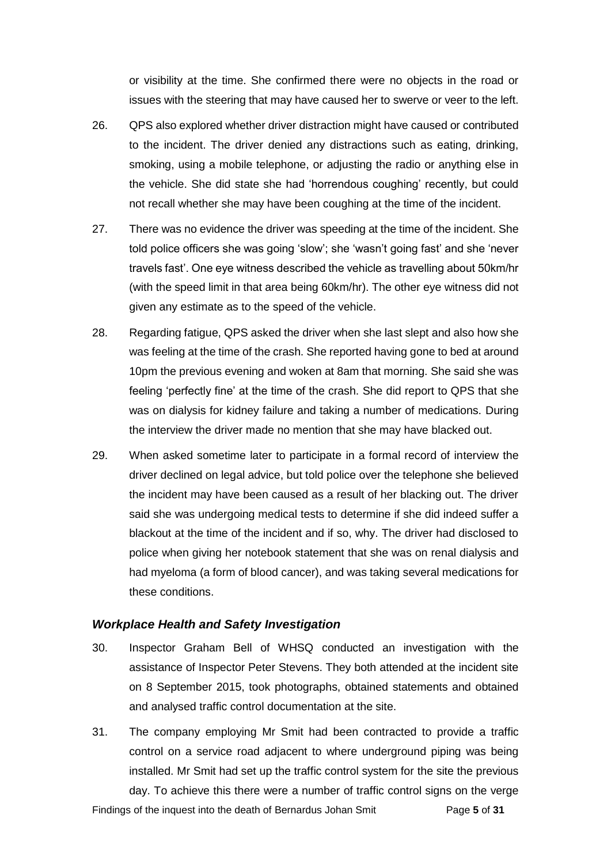or visibility at the time. She confirmed there were no objects in the road or issues with the steering that may have caused her to swerve or veer to the left.

- 26. QPS also explored whether driver distraction might have caused or contributed to the incident. The driver denied any distractions such as eating, drinking, smoking, using a mobile telephone, or adjusting the radio or anything else in the vehicle. She did state she had 'horrendous coughing' recently, but could not recall whether she may have been coughing at the time of the incident.
- 27. There was no evidence the driver was speeding at the time of the incident. She told police officers she was going 'slow'; she 'wasn't going fast' and she 'never travels fast'. One eye witness described the vehicle as travelling about 50km/hr (with the speed limit in that area being 60km/hr). The other eye witness did not given any estimate as to the speed of the vehicle.
- 28. Regarding fatigue, QPS asked the driver when she last slept and also how she was feeling at the time of the crash. She reported having gone to bed at around 10pm the previous evening and woken at 8am that morning. She said she was feeling 'perfectly fine' at the time of the crash. She did report to QPS that she was on dialysis for kidney failure and taking a number of medications. During the interview the driver made no mention that she may have blacked out.
- 29. When asked sometime later to participate in a formal record of interview the driver declined on legal advice, but told police over the telephone she believed the incident may have been caused as a result of her blacking out. The driver said she was undergoing medical tests to determine if she did indeed suffer a blackout at the time of the incident and if so, why. The driver had disclosed to police when giving her notebook statement that she was on renal dialysis and had myeloma (a form of blood cancer), and was taking several medications for these conditions.

#### <span id="page-6-0"></span>*Workplace Health and Safety Investigation*

- 30. Inspector Graham Bell of WHSQ conducted an investigation with the assistance of Inspector Peter Stevens. They both attended at the incident site on 8 September 2015, took photographs, obtained statements and obtained and analysed traffic control documentation at the site.
- 31. The company employing Mr Smit had been contracted to provide a traffic control on a service road adjacent to where underground piping was being installed. Mr Smit had set up the traffic control system for the site the previous day. To achieve this there were a number of traffic control signs on the verge

Findings of the inquest into the death of Bernardus Johan Smit Page **5** of **31**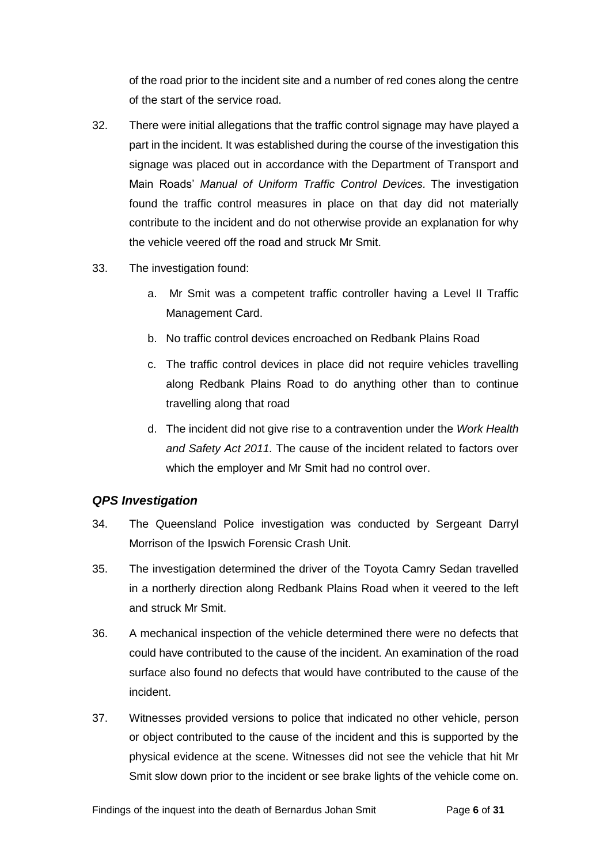of the road prior to the incident site and a number of red cones along the centre of the start of the service road.

- 32. There were initial allegations that the traffic control signage may have played a part in the incident. It was established during the course of the investigation this signage was placed out in accordance with the Department of Transport and Main Roads' *Manual of Uniform Traffic Control Devices.* The investigation found the traffic control measures in place on that day did not materially contribute to the incident and do not otherwise provide an explanation for why the vehicle veered off the road and struck Mr Smit.
- 33. The investigation found:
	- a. Mr Smit was a competent traffic controller having a Level II Traffic Management Card.
	- b. No traffic control devices encroached on Redbank Plains Road
	- c. The traffic control devices in place did not require vehicles travelling along Redbank Plains Road to do anything other than to continue travelling along that road
	- d. The incident did not give rise to a contravention under the *Work Health and Safety Act 2011.* The cause of the incident related to factors over which the employer and Mr Smit had no control over.

### <span id="page-7-0"></span>*QPS Investigation*

- 34. The Queensland Police investigation was conducted by Sergeant Darryl Morrison of the Ipswich Forensic Crash Unit.
- 35. The investigation determined the driver of the Toyota Camry Sedan travelled in a northerly direction along Redbank Plains Road when it veered to the left and struck Mr Smit.
- 36. A mechanical inspection of the vehicle determined there were no defects that could have contributed to the cause of the incident. An examination of the road surface also found no defects that would have contributed to the cause of the incident.
- 37. Witnesses provided versions to police that indicated no other vehicle, person or object contributed to the cause of the incident and this is supported by the physical evidence at the scene. Witnesses did not see the vehicle that hit Mr Smit slow down prior to the incident or see brake lights of the vehicle come on.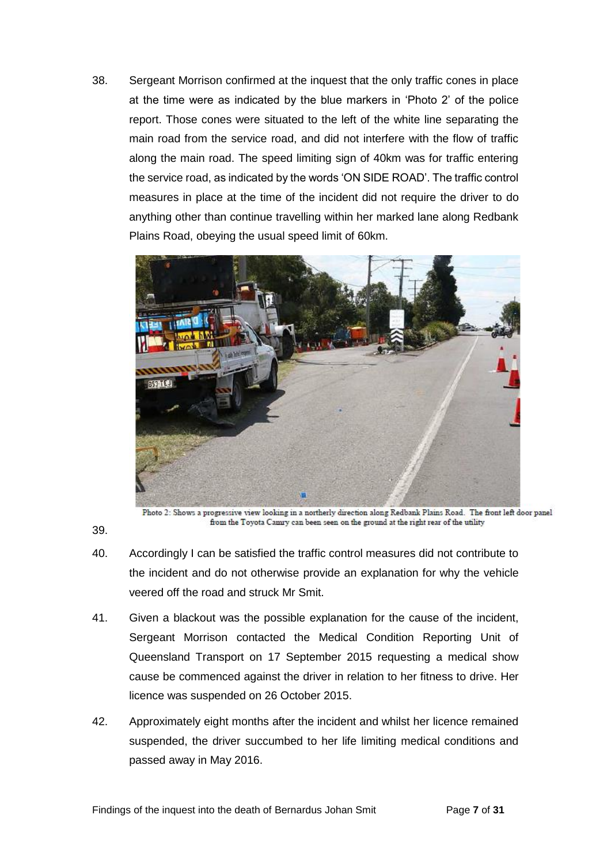38. Sergeant Morrison confirmed at the inquest that the only traffic cones in place at the time were as indicated by the blue markers in 'Photo 2' of the police report. Those cones were situated to the left of the white line separating the main road from the service road, and did not interfere with the flow of traffic along the main road. The speed limiting sign of 40km was for traffic entering the service road, as indicated by the words 'ON SIDE ROAD'. The traffic control measures in place at the time of the incident did not require the driver to do anything other than continue travelling within her marked lane along Redbank Plains Road, obeying the usual speed limit of 60km.



Photo 2: Shows a progressive view looking in a northerly direction along Redbank Plains Road. The front left door panel from the Toyota Camry can been seen on the ground at the right rear of the utility

- 40. Accordingly I can be satisfied the traffic control measures did not contribute to the incident and do not otherwise provide an explanation for why the vehicle veered off the road and struck Mr Smit.
- 41. Given a blackout was the possible explanation for the cause of the incident, Sergeant Morrison contacted the Medical Condition Reporting Unit of Queensland Transport on 17 September 2015 requesting a medical show cause be commenced against the driver in relation to her fitness to drive. Her licence was suspended on 26 October 2015.
- 42. Approximately eight months after the incident and whilst her licence remained suspended, the driver succumbed to her life limiting medical conditions and passed away in May 2016.

39.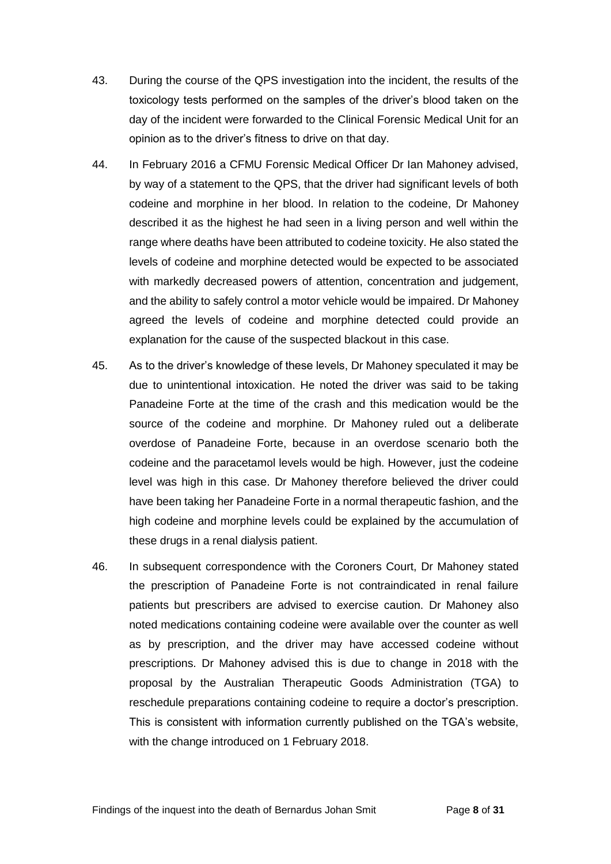- 43. During the course of the QPS investigation into the incident, the results of the toxicology tests performed on the samples of the driver's blood taken on the day of the incident were forwarded to the Clinical Forensic Medical Unit for an opinion as to the driver's fitness to drive on that day.
- 44. In February 2016 a CFMU Forensic Medical Officer Dr Ian Mahoney advised, by way of a statement to the QPS, that the driver had significant levels of both codeine and morphine in her blood. In relation to the codeine, Dr Mahoney described it as the highest he had seen in a living person and well within the range where deaths have been attributed to codeine toxicity. He also stated the levels of codeine and morphine detected would be expected to be associated with markedly decreased powers of attention, concentration and judgement, and the ability to safely control a motor vehicle would be impaired. Dr Mahoney agreed the levels of codeine and morphine detected could provide an explanation for the cause of the suspected blackout in this case.
- 45. As to the driver's knowledge of these levels, Dr Mahoney speculated it may be due to unintentional intoxication. He noted the driver was said to be taking Panadeine Forte at the time of the crash and this medication would be the source of the codeine and morphine. Dr Mahoney ruled out a deliberate overdose of Panadeine Forte, because in an overdose scenario both the codeine and the paracetamol levels would be high. However, just the codeine level was high in this case. Dr Mahoney therefore believed the driver could have been taking her Panadeine Forte in a normal therapeutic fashion, and the high codeine and morphine levels could be explained by the accumulation of these drugs in a renal dialysis patient.
- 46. In subsequent correspondence with the Coroners Court, Dr Mahoney stated the prescription of Panadeine Forte is not contraindicated in renal failure patients but prescribers are advised to exercise caution. Dr Mahoney also noted medications containing codeine were available over the counter as well as by prescription, and the driver may have accessed codeine without prescriptions. Dr Mahoney advised this is due to change in 2018 with the proposal by the Australian Therapeutic Goods Administration (TGA) to reschedule preparations containing codeine to require a doctor's prescription. This is consistent with information currently published on the TGA's website, with the change introduced on 1 February 2018.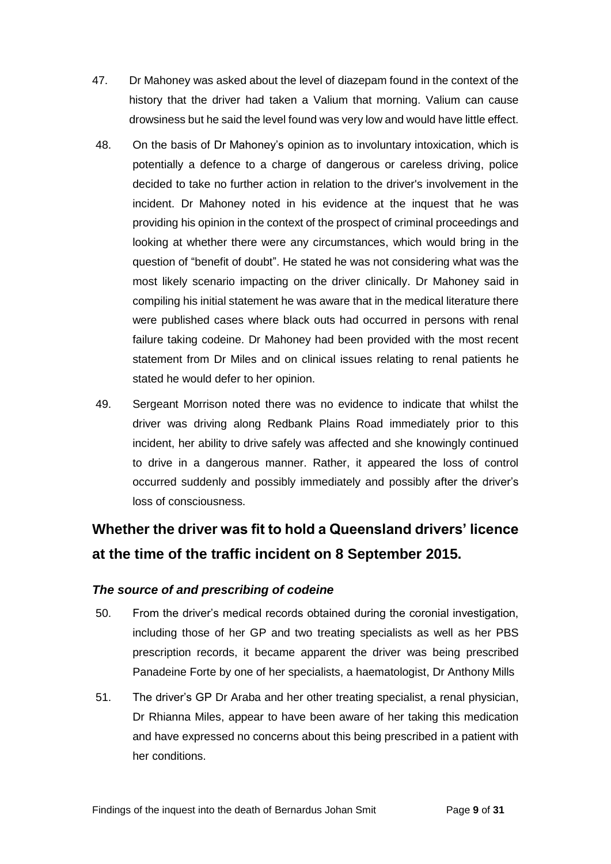- 47. Dr Mahoney was asked about the level of diazepam found in the context of the history that the driver had taken a Valium that morning. Valium can cause drowsiness but he said the level found was very low and would have little effect.
- 48. On the basis of Dr Mahoney's opinion as to involuntary intoxication, which is potentially a defence to a charge of dangerous or careless driving, police decided to take no further action in relation to the driver's involvement in the incident. Dr Mahoney noted in his evidence at the inquest that he was providing his opinion in the context of the prospect of criminal proceedings and looking at whether there were any circumstances, which would bring in the question of "benefit of doubt". He stated he was not considering what was the most likely scenario impacting on the driver clinically. Dr Mahoney said in compiling his initial statement he was aware that in the medical literature there were published cases where black outs had occurred in persons with renal failure taking codeine. Dr Mahoney had been provided with the most recent statement from Dr Miles and on clinical issues relating to renal patients he stated he would defer to her opinion.
- 49. Sergeant Morrison noted there was no evidence to indicate that whilst the driver was driving along Redbank Plains Road immediately prior to this incident, her ability to drive safely was affected and she knowingly continued to drive in a dangerous manner. Rather, it appeared the loss of control occurred suddenly and possibly immediately and possibly after the driver's loss of consciousness.

# <span id="page-10-0"></span>**Whether the driver was fit to hold a Queensland drivers' licence at the time of the traffic incident on 8 September 2015.**

### <span id="page-10-1"></span>*The source of and prescribing of codeine*

- 50. From the driver's medical records obtained during the coronial investigation, including those of her GP and two treating specialists as well as her PBS prescription records, it became apparent the driver was being prescribed Panadeine Forte by one of her specialists, a haematologist, Dr Anthony Mills
- 51. The driver's GP Dr Araba and her other treating specialist, a renal physician, Dr Rhianna Miles, appear to have been aware of her taking this medication and have expressed no concerns about this being prescribed in a patient with her conditions.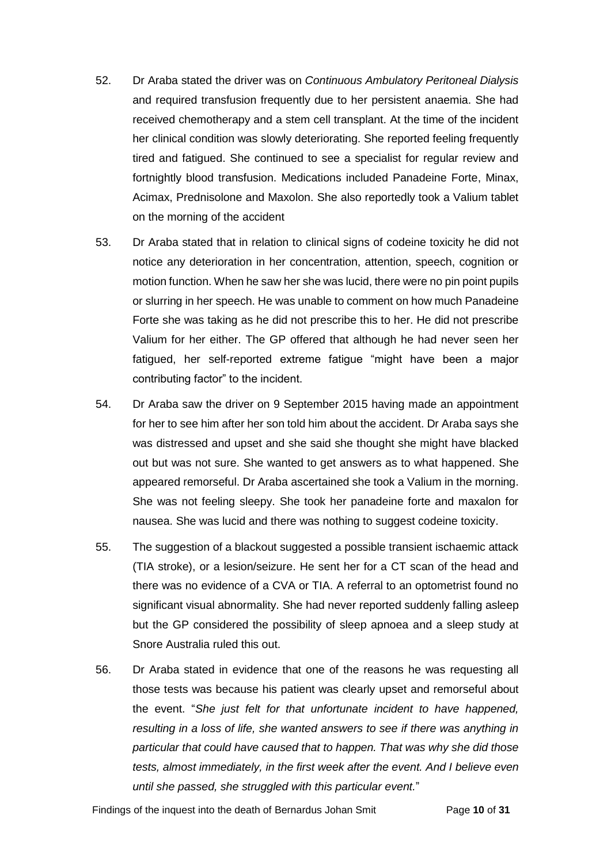- 52. Dr Araba stated the driver was on *Continuous Ambulatory Peritoneal Dialysis* and required transfusion frequently due to her persistent anaemia. She had received chemotherapy and a stem cell transplant. At the time of the incident her clinical condition was slowly deteriorating. She reported feeling frequently tired and fatigued. She continued to see a specialist for regular review and fortnightly blood transfusion. Medications included Panadeine Forte, Minax, Acimax, Prednisolone and Maxolon. She also reportedly took a Valium tablet on the morning of the accident
- 53. Dr Araba stated that in relation to clinical signs of codeine toxicity he did not notice any deterioration in her concentration, attention, speech, cognition or motion function. When he saw her she was lucid, there were no pin point pupils or slurring in her speech. He was unable to comment on how much Panadeine Forte she was taking as he did not prescribe this to her. He did not prescribe Valium for her either. The GP offered that although he had never seen her fatigued, her self-reported extreme fatigue "might have been a major contributing factor" to the incident.
- 54. Dr Araba saw the driver on 9 September 2015 having made an appointment for her to see him after her son told him about the accident. Dr Araba says she was distressed and upset and she said she thought she might have blacked out but was not sure. She wanted to get answers as to what happened. She appeared remorseful. Dr Araba ascertained she took a Valium in the morning. She was not feeling sleepy. She took her panadeine forte and maxalon for nausea. She was lucid and there was nothing to suggest codeine toxicity.
- 55. The suggestion of a blackout suggested a possible transient ischaemic attack (TIA stroke), or a lesion/seizure. He sent her for a CT scan of the head and there was no evidence of a CVA or TIA. A referral to an optometrist found no significant visual abnormality. She had never reported suddenly falling asleep but the GP considered the possibility of sleep apnoea and a sleep study at Snore Australia ruled this out.
- 56. Dr Araba stated in evidence that one of the reasons he was requesting all those tests was because his patient was clearly upset and remorseful about the event. "*She just felt for that unfortunate incident to have happened, resulting in a loss of life, she wanted answers to see if there was anything in particular that could have caused that to happen. That was why she did those tests, almost immediately, in the first week after the event. And I believe even until she passed, she struggled with this particular event.*"

Findings of the inquest into the death of Bernardus Johan Smit Page **10** of **31**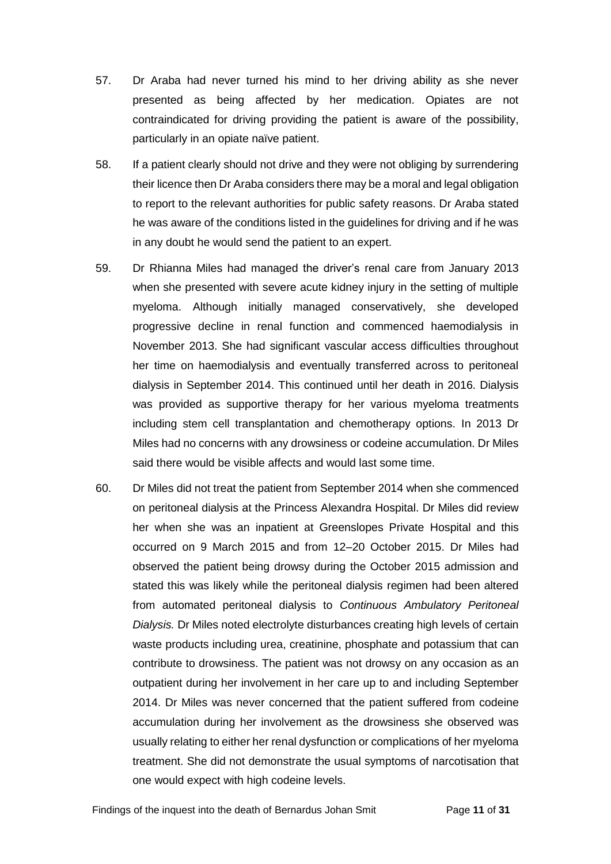- 57. Dr Araba had never turned his mind to her driving ability as she never presented as being affected by her medication. Opiates are not contraindicated for driving providing the patient is aware of the possibility, particularly in an opiate naïve patient.
- 58. If a patient clearly should not drive and they were not obliging by surrendering their licence then Dr Araba considers there may be a moral and legal obligation to report to the relevant authorities for public safety reasons. Dr Araba stated he was aware of the conditions listed in the guidelines for driving and if he was in any doubt he would send the patient to an expert.
- 59. Dr Rhianna Miles had managed the driver's renal care from January 2013 when she presented with severe acute kidney injury in the setting of multiple myeloma. Although initially managed conservatively, she developed progressive decline in renal function and commenced haemodialysis in November 2013. She had significant vascular access difficulties throughout her time on haemodialysis and eventually transferred across to peritoneal dialysis in September 2014. This continued until her death in 2016. Dialysis was provided as supportive therapy for her various myeloma treatments including stem cell transplantation and chemotherapy options. In 2013 Dr Miles had no concerns with any drowsiness or codeine accumulation. Dr Miles said there would be visible affects and would last some time.
- 60. Dr Miles did not treat the patient from September 2014 when she commenced on peritoneal dialysis at the Princess Alexandra Hospital. Dr Miles did review her when she was an inpatient at Greenslopes Private Hospital and this occurred on 9 March 2015 and from 12–20 October 2015. Dr Miles had observed the patient being drowsy during the October 2015 admission and stated this was likely while the peritoneal dialysis regimen had been altered from automated peritoneal dialysis to *Continuous Ambulatory Peritoneal Dialysis.* Dr Miles noted electrolyte disturbances creating high levels of certain waste products including urea, creatinine, phosphate and potassium that can contribute to drowsiness. The patient was not drowsy on any occasion as an outpatient during her involvement in her care up to and including September 2014. Dr Miles was never concerned that the patient suffered from codeine accumulation during her involvement as the drowsiness she observed was usually relating to either her renal dysfunction or complications of her myeloma treatment. She did not demonstrate the usual symptoms of narcotisation that one would expect with high codeine levels.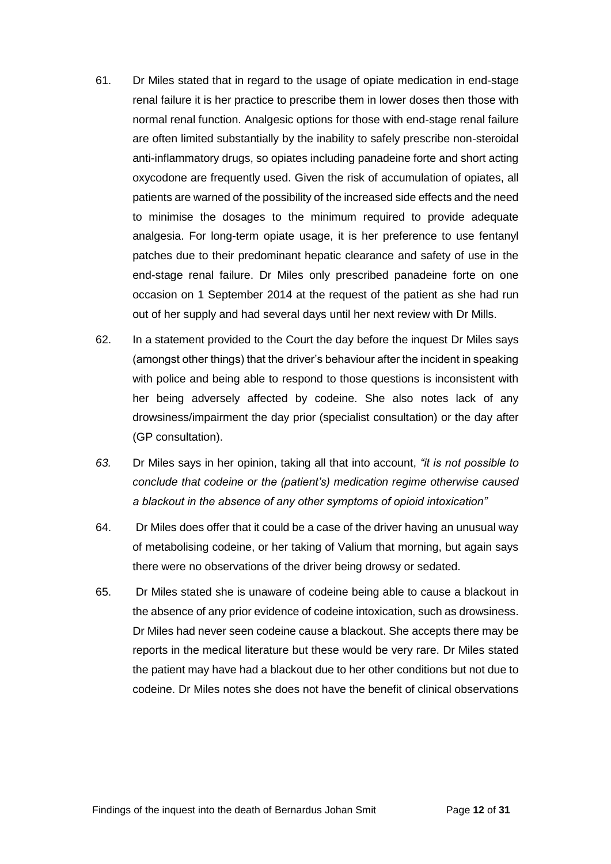- 61. Dr Miles stated that in regard to the usage of opiate medication in end-stage renal failure it is her practice to prescribe them in lower doses then those with normal renal function. Analgesic options for those with end-stage renal failure are often limited substantially by the inability to safely prescribe non-steroidal anti-inflammatory drugs, so opiates including panadeine forte and short acting oxycodone are frequently used. Given the risk of accumulation of opiates, all patients are warned of the possibility of the increased side effects and the need to minimise the dosages to the minimum required to provide adequate analgesia. For long-term opiate usage, it is her preference to use fentanyl patches due to their predominant hepatic clearance and safety of use in the end-stage renal failure. Dr Miles only prescribed panadeine forte on one occasion on 1 September 2014 at the request of the patient as she had run out of her supply and had several days until her next review with Dr Mills.
- 62. In a statement provided to the Court the day before the inquest Dr Miles says (amongst other things) that the driver's behaviour after the incident in speaking with police and being able to respond to those questions is inconsistent with her being adversely affected by codeine. She also notes lack of any drowsiness/impairment the day prior (specialist consultation) or the day after (GP consultation).
- *63.* Dr Miles says in her opinion, taking all that into account, *"it is not possible to conclude that codeine or the (patient's) medication regime otherwise caused a blackout in the absence of any other symptoms of opioid intoxication"*
- 64. Dr Miles does offer that it could be a case of the driver having an unusual way of metabolising codeine, or her taking of Valium that morning, but again says there were no observations of the driver being drowsy or sedated.
- 65. Dr Miles stated she is unaware of codeine being able to cause a blackout in the absence of any prior evidence of codeine intoxication, such as drowsiness. Dr Miles had never seen codeine cause a blackout. She accepts there may be reports in the medical literature but these would be very rare. Dr Miles stated the patient may have had a blackout due to her other conditions but not due to codeine. Dr Miles notes she does not have the benefit of clinical observations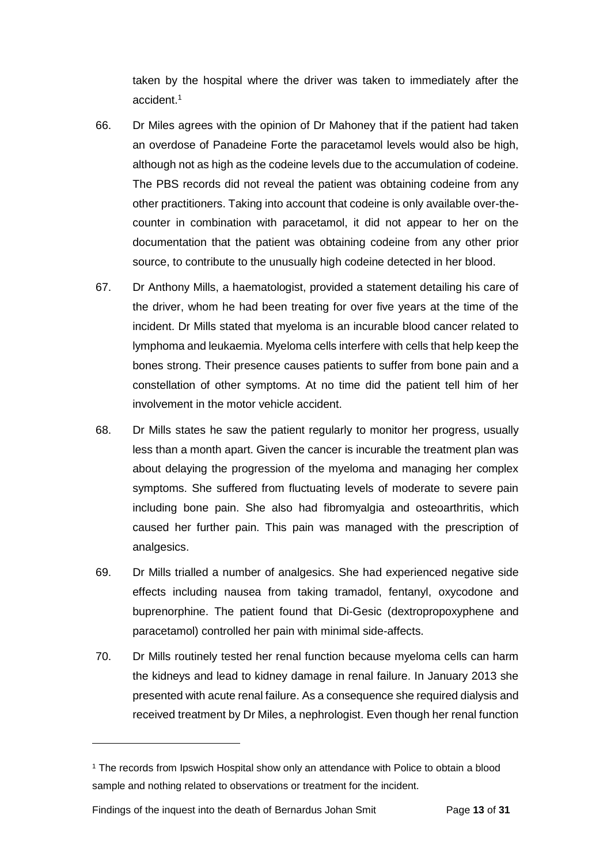taken by the hospital where the driver was taken to immediately after the accident.<sup>1</sup>

- 66. Dr Miles agrees with the opinion of Dr Mahoney that if the patient had taken an overdose of Panadeine Forte the paracetamol levels would also be high, although not as high as the codeine levels due to the accumulation of codeine. The PBS records did not reveal the patient was obtaining codeine from any other practitioners. Taking into account that codeine is only available over-thecounter in combination with paracetamol, it did not appear to her on the documentation that the patient was obtaining codeine from any other prior source, to contribute to the unusually high codeine detected in her blood.
- 67. Dr Anthony Mills, a haematologist, provided a statement detailing his care of the driver, whom he had been treating for over five years at the time of the incident. Dr Mills stated that myeloma is an incurable blood cancer related to lymphoma and leukaemia. Myeloma cells interfere with cells that help keep the bones strong. Their presence causes patients to suffer from bone pain and a constellation of other symptoms. At no time did the patient tell him of her involvement in the motor vehicle accident.
- 68. Dr Mills states he saw the patient regularly to monitor her progress, usually less than a month apart. Given the cancer is incurable the treatment plan was about delaying the progression of the myeloma and managing her complex symptoms. She suffered from fluctuating levels of moderate to severe pain including bone pain. She also had fibromyalgia and osteoarthritis, which caused her further pain. This pain was managed with the prescription of analgesics.
- 69. Dr Mills trialled a number of analgesics. She had experienced negative side effects including nausea from taking tramadol, fentanyl, oxycodone and buprenorphine. The patient found that Di-Gesic (dextropropoxyphene and paracetamol) controlled her pain with minimal side-affects.
- 70. Dr Mills routinely tested her renal function because myeloma cells can harm the kidneys and lead to kidney damage in renal failure. In January 2013 she presented with acute renal failure. As a consequence she required dialysis and received treatment by Dr Miles, a nephrologist. Even though her renal function

l

<sup>&</sup>lt;sup>1</sup> The records from Ipswich Hospital show only an attendance with Police to obtain a blood sample and nothing related to observations or treatment for the incident.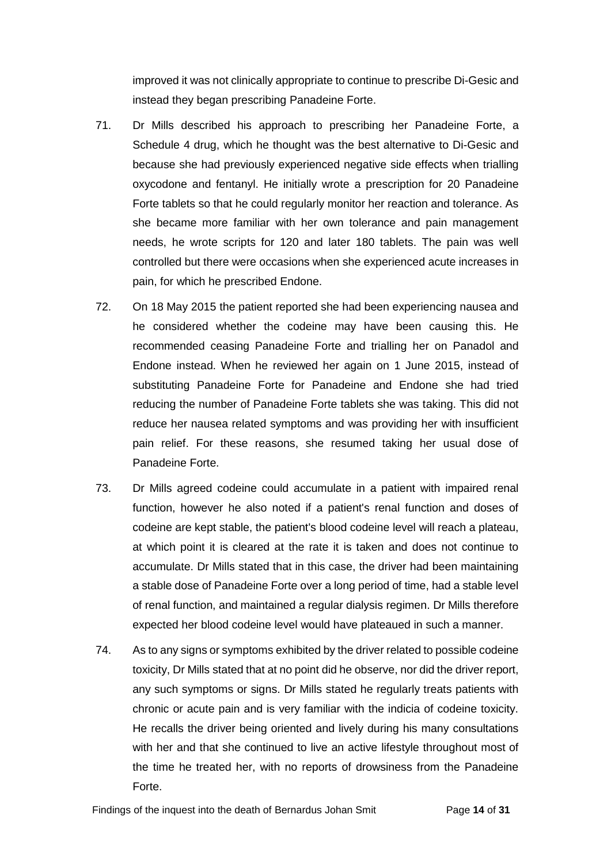improved it was not clinically appropriate to continue to prescribe Di-Gesic and instead they began prescribing Panadeine Forte.

- 71. Dr Mills described his approach to prescribing her Panadeine Forte, a Schedule 4 drug, which he thought was the best alternative to Di-Gesic and because she had previously experienced negative side effects when trialling oxycodone and fentanyl. He initially wrote a prescription for 20 Panadeine Forte tablets so that he could regularly monitor her reaction and tolerance. As she became more familiar with her own tolerance and pain management needs, he wrote scripts for 120 and later 180 tablets. The pain was well controlled but there were occasions when she experienced acute increases in pain, for which he prescribed Endone.
- 72. On 18 May 2015 the patient reported she had been experiencing nausea and he considered whether the codeine may have been causing this. He recommended ceasing Panadeine Forte and trialling her on Panadol and Endone instead. When he reviewed her again on 1 June 2015, instead of substituting Panadeine Forte for Panadeine and Endone she had tried reducing the number of Panadeine Forte tablets she was taking. This did not reduce her nausea related symptoms and was providing her with insufficient pain relief. For these reasons, she resumed taking her usual dose of Panadeine Forte.
- 73. Dr Mills agreed codeine could accumulate in a patient with impaired renal function, however he also noted if a patient's renal function and doses of codeine are kept stable, the patient's blood codeine level will reach a plateau, at which point it is cleared at the rate it is taken and does not continue to accumulate. Dr Mills stated that in this case, the driver had been maintaining a stable dose of Panadeine Forte over a long period of time, had a stable level of renal function, and maintained a regular dialysis regimen. Dr Mills therefore expected her blood codeine level would have plateaued in such a manner.
- 74. As to any signs or symptoms exhibited by the driver related to possible codeine toxicity, Dr Mills stated that at no point did he observe, nor did the driver report, any such symptoms or signs. Dr Mills stated he regularly treats patients with chronic or acute pain and is very familiar with the indicia of codeine toxicity. He recalls the driver being oriented and lively during his many consultations with her and that she continued to live an active lifestyle throughout most of the time he treated her, with no reports of drowsiness from the Panadeine Forte.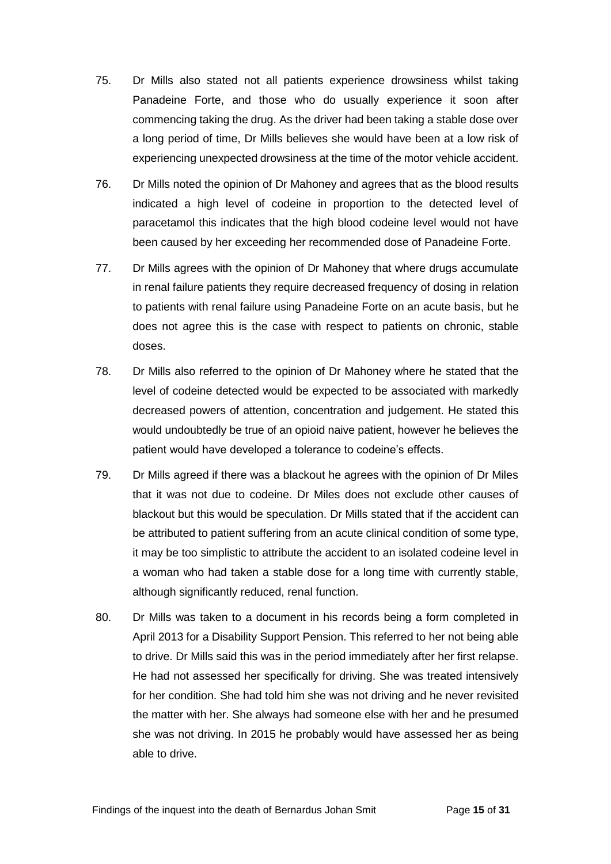- 75. Dr Mills also stated not all patients experience drowsiness whilst taking Panadeine Forte, and those who do usually experience it soon after commencing taking the drug. As the driver had been taking a stable dose over a long period of time, Dr Mills believes she would have been at a low risk of experiencing unexpected drowsiness at the time of the motor vehicle accident.
- 76. Dr Mills noted the opinion of Dr Mahoney and agrees that as the blood results indicated a high level of codeine in proportion to the detected level of paracetamol this indicates that the high blood codeine level would not have been caused by her exceeding her recommended dose of Panadeine Forte.
- 77. Dr Mills agrees with the opinion of Dr Mahoney that where drugs accumulate in renal failure patients they require decreased frequency of dosing in relation to patients with renal failure using Panadeine Forte on an acute basis, but he does not agree this is the case with respect to patients on chronic, stable doses.
- 78. Dr Mills also referred to the opinion of Dr Mahoney where he stated that the level of codeine detected would be expected to be associated with markedly decreased powers of attention, concentration and judgement. He stated this would undoubtedly be true of an opioid naive patient, however he believes the patient would have developed a tolerance to codeine's effects.
- 79. Dr Mills agreed if there was a blackout he agrees with the opinion of Dr Miles that it was not due to codeine. Dr Miles does not exclude other causes of blackout but this would be speculation. Dr Mills stated that if the accident can be attributed to patient suffering from an acute clinical condition of some type, it may be too simplistic to attribute the accident to an isolated codeine level in a woman who had taken a stable dose for a long time with currently stable, although significantly reduced, renal function.
- 80. Dr Mills was taken to a document in his records being a form completed in April 2013 for a Disability Support Pension. This referred to her not being able to drive. Dr Mills said this was in the period immediately after her first relapse. He had not assessed her specifically for driving. She was treated intensively for her condition. She had told him she was not driving and he never revisited the matter with her. She always had someone else with her and he presumed she was not driving. In 2015 he probably would have assessed her as being able to drive.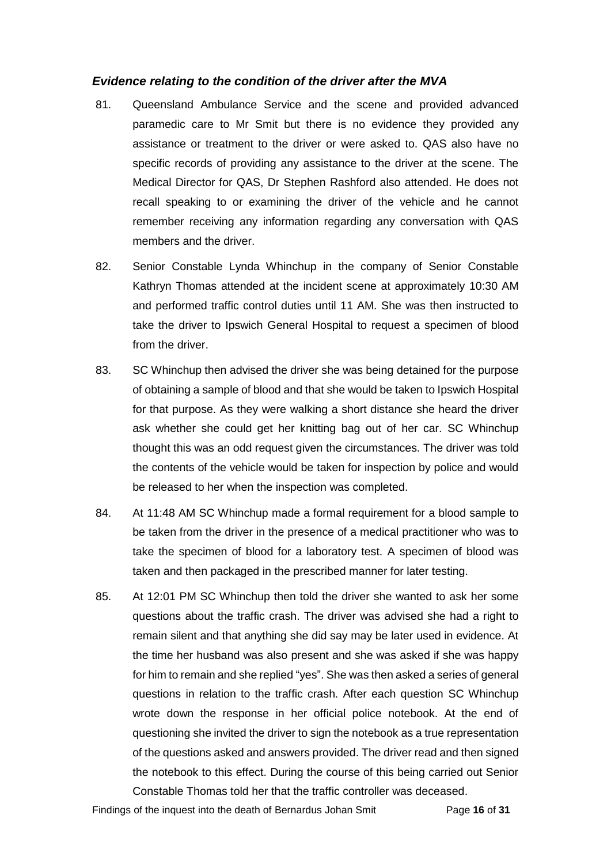#### <span id="page-17-0"></span>*Evidence relating to the condition of the driver after the MVA*

- 81. Queensland Ambulance Service and the scene and provided advanced paramedic care to Mr Smit but there is no evidence they provided any assistance or treatment to the driver or were asked to. QAS also have no specific records of providing any assistance to the driver at the scene. The Medical Director for QAS, Dr Stephen Rashford also attended. He does not recall speaking to or examining the driver of the vehicle and he cannot remember receiving any information regarding any conversation with QAS members and the driver.
- 82. Senior Constable Lynda Whinchup in the company of Senior Constable Kathryn Thomas attended at the incident scene at approximately 10:30 AM and performed traffic control duties until 11 AM. She was then instructed to take the driver to Ipswich General Hospital to request a specimen of blood from the driver.
- 83. SC Whinchup then advised the driver she was being detained for the purpose of obtaining a sample of blood and that she would be taken to Ipswich Hospital for that purpose. As they were walking a short distance she heard the driver ask whether she could get her knitting bag out of her car. SC Whinchup thought this was an odd request given the circumstances. The driver was told the contents of the vehicle would be taken for inspection by police and would be released to her when the inspection was completed.
- 84. At 11:48 AM SC Whinchup made a formal requirement for a blood sample to be taken from the driver in the presence of a medical practitioner who was to take the specimen of blood for a laboratory test. A specimen of blood was taken and then packaged in the prescribed manner for later testing.
- 85. At 12:01 PM SC Whinchup then told the driver she wanted to ask her some questions about the traffic crash. The driver was advised she had a right to remain silent and that anything she did say may be later used in evidence. At the time her husband was also present and she was asked if she was happy for him to remain and she replied "yes". She was then asked a series of general questions in relation to the traffic crash. After each question SC Whinchup wrote down the response in her official police notebook. At the end of questioning she invited the driver to sign the notebook as a true representation of the questions asked and answers provided. The driver read and then signed the notebook to this effect. During the course of this being carried out Senior Constable Thomas told her that the traffic controller was deceased.

Findings of the inquest into the death of Bernardus Johan Smit Page **16** of **31**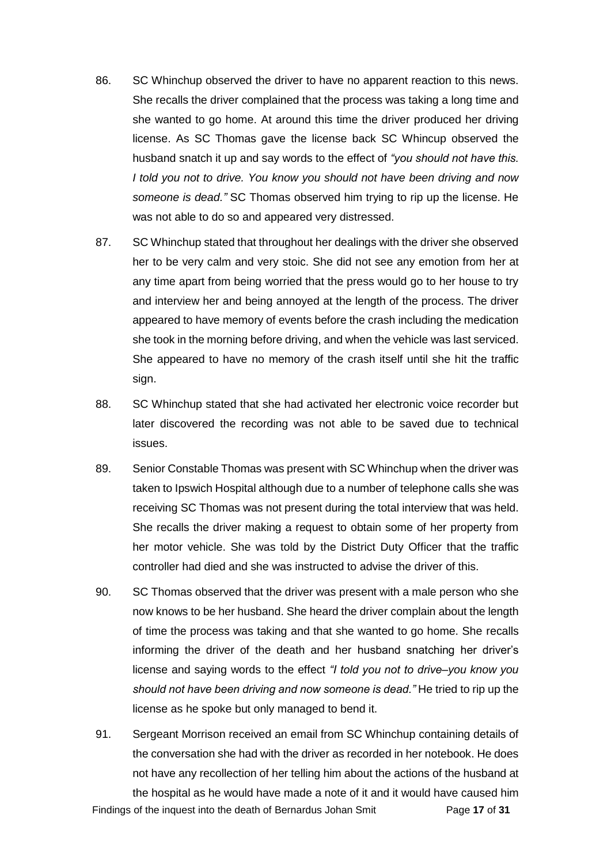- 86. SC Whinchup observed the driver to have no apparent reaction to this news. She recalls the driver complained that the process was taking a long time and she wanted to go home. At around this time the driver produced her driving license. As SC Thomas gave the license back SC Whincup observed the husband snatch it up and say words to the effect of *"you should not have this. I told you not to drive. You know you should not have been driving and now someone is dead."* SC Thomas observed him trying to rip up the license. He was not able to do so and appeared very distressed.
- 87. SC Whinchup stated that throughout her dealings with the driver she observed her to be very calm and very stoic. She did not see any emotion from her at any time apart from being worried that the press would go to her house to try and interview her and being annoyed at the length of the process. The driver appeared to have memory of events before the crash including the medication she took in the morning before driving, and when the vehicle was last serviced. She appeared to have no memory of the crash itself until she hit the traffic sign.
- 88. SC Whinchup stated that she had activated her electronic voice recorder but later discovered the recording was not able to be saved due to technical issues.
- 89. Senior Constable Thomas was present with SC Whinchup when the driver was taken to Ipswich Hospital although due to a number of telephone calls she was receiving SC Thomas was not present during the total interview that was held. She recalls the driver making a request to obtain some of her property from her motor vehicle. She was told by the District Duty Officer that the traffic controller had died and she was instructed to advise the driver of this.
- 90. SC Thomas observed that the driver was present with a male person who she now knows to be her husband. She heard the driver complain about the length of time the process was taking and that she wanted to go home. She recalls informing the driver of the death and her husband snatching her driver's license and saying words to the effect *"I told you not to drive–you know you should not have been driving and now someone is dead."* He tried to rip up the license as he spoke but only managed to bend it.
- Findings of the inquest into the death of Bernardus Johan Smit Page **17** of **31** 91. Sergeant Morrison received an email from SC Whinchup containing details of the conversation she had with the driver as recorded in her notebook. He does not have any recollection of her telling him about the actions of the husband at the hospital as he would have made a note of it and it would have caused him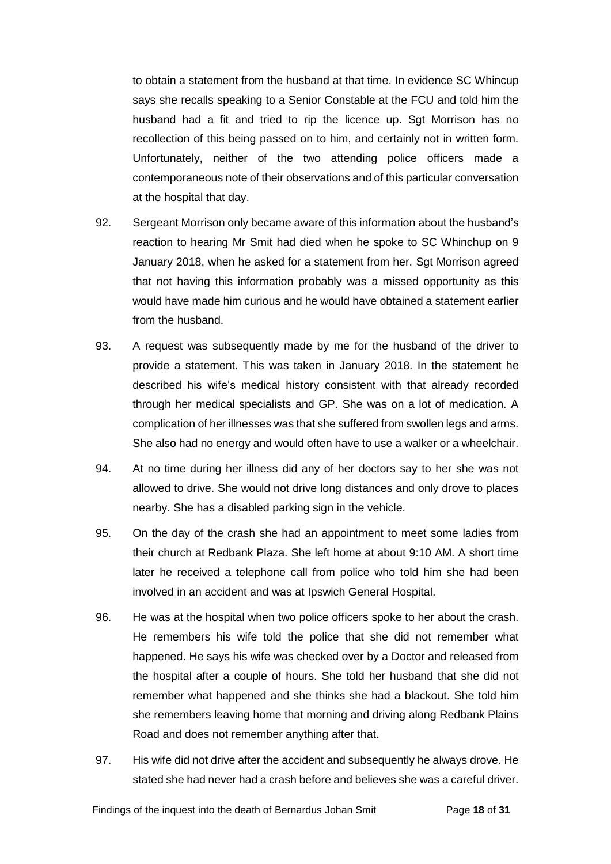to obtain a statement from the husband at that time. In evidence SC Whincup says she recalls speaking to a Senior Constable at the FCU and told him the husband had a fit and tried to rip the licence up. Sgt Morrison has no recollection of this being passed on to him, and certainly not in written form. Unfortunately, neither of the two attending police officers made a contemporaneous note of their observations and of this particular conversation at the hospital that day.

- 92. Sergeant Morrison only became aware of this information about the husband's reaction to hearing Mr Smit had died when he spoke to SC Whinchup on 9 January 2018, when he asked for a statement from her. Sgt Morrison agreed that not having this information probably was a missed opportunity as this would have made him curious and he would have obtained a statement earlier from the husband.
- 93. A request was subsequently made by me for the husband of the driver to provide a statement. This was taken in January 2018. In the statement he described his wife's medical history consistent with that already recorded through her medical specialists and GP. She was on a lot of medication. A complication of her illnesses was that she suffered from swollen legs and arms. She also had no energy and would often have to use a walker or a wheelchair.
- 94. At no time during her illness did any of her doctors say to her she was not allowed to drive. She would not drive long distances and only drove to places nearby. She has a disabled parking sign in the vehicle.
- 95. On the day of the crash she had an appointment to meet some ladies from their church at Redbank Plaza. She left home at about 9:10 AM. A short time later he received a telephone call from police who told him she had been involved in an accident and was at Ipswich General Hospital.
- 96. He was at the hospital when two police officers spoke to her about the crash. He remembers his wife told the police that she did not remember what happened. He says his wife was checked over by a Doctor and released from the hospital after a couple of hours. She told her husband that she did not remember what happened and she thinks she had a blackout. She told him she remembers leaving home that morning and driving along Redbank Plains Road and does not remember anything after that.
- 97. His wife did not drive after the accident and subsequently he always drove. He stated she had never had a crash before and believes she was a careful driver.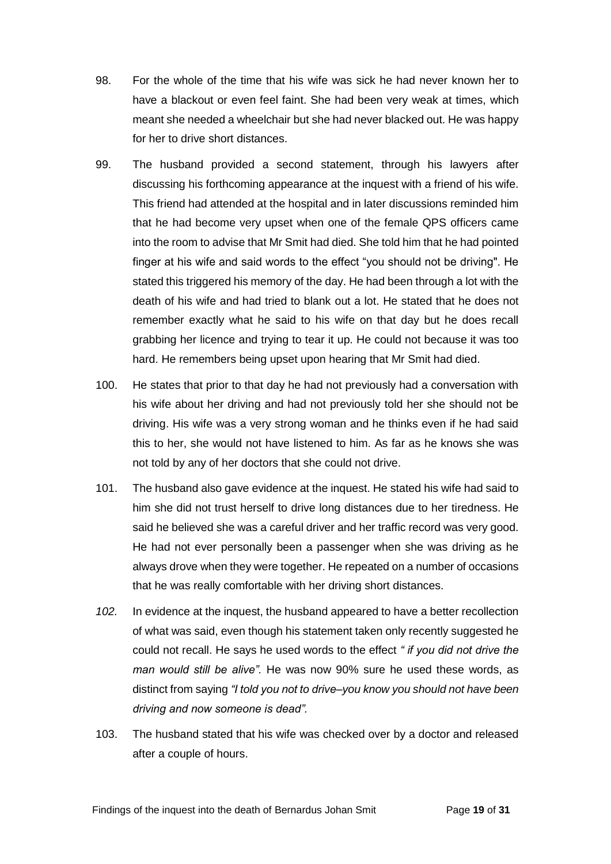- 98. For the whole of the time that his wife was sick he had never known her to have a blackout or even feel faint. She had been very weak at times, which meant she needed a wheelchair but she had never blacked out. He was happy for her to drive short distances.
- 99. The husband provided a second statement, through his lawyers after discussing his forthcoming appearance at the inquest with a friend of his wife. This friend had attended at the hospital and in later discussions reminded him that he had become very upset when one of the female QPS officers came into the room to advise that Mr Smit had died. She told him that he had pointed finger at his wife and said words to the effect "you should not be driving". He stated this triggered his memory of the day. He had been through a lot with the death of his wife and had tried to blank out a lot. He stated that he does not remember exactly what he said to his wife on that day but he does recall grabbing her licence and trying to tear it up. He could not because it was too hard. He remembers being upset upon hearing that Mr Smit had died.
- 100. He states that prior to that day he had not previously had a conversation with his wife about her driving and had not previously told her she should not be driving. His wife was a very strong woman and he thinks even if he had said this to her, she would not have listened to him. As far as he knows she was not told by any of her doctors that she could not drive.
- 101. The husband also gave evidence at the inquest. He stated his wife had said to him she did not trust herself to drive long distances due to her tiredness. He said he believed she was a careful driver and her traffic record was very good. He had not ever personally been a passenger when she was driving as he always drove when they were together. He repeated on a number of occasions that he was really comfortable with her driving short distances.
- *102.* In evidence at the inquest, the husband appeared to have a better recollection of what was said, even though his statement taken only recently suggested he could not recall. He says he used words to the effect *" if you did not drive the man would still be alive".* He was now 90% sure he used these words, as distinct from saying *"I told you not to drive–you know you should not have been driving and now someone is dead".*
- 103. The husband stated that his wife was checked over by a doctor and released after a couple of hours.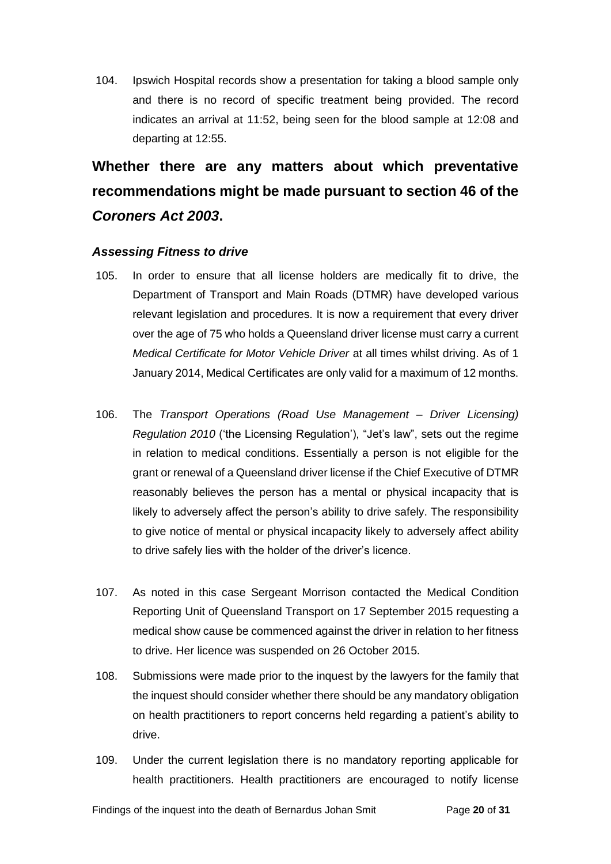104. Ipswich Hospital records show a presentation for taking a blood sample only and there is no record of specific treatment being provided. The record indicates an arrival at 11:52, being seen for the blood sample at 12:08 and departing at 12:55.

# <span id="page-21-0"></span>**Whether there are any matters about which preventative recommendations might be made pursuant to section 46 of the**  *Coroners Act 2003***.**

### <span id="page-21-1"></span>*Assessing Fitness to drive*

- 105. In order to ensure that all license holders are medically fit to drive, the Department of Transport and Main Roads (DTMR) have developed various relevant legislation and procedures. It is now a requirement that every driver over the age of 75 who holds a Queensland driver license must carry a current *Medical Certificate for Motor Vehicle Driver* at all times whilst driving. As of 1 January 2014, Medical Certificates are only valid for a maximum of 12 months.
- 106. The *Transport Operations (Road Use Management – Driver Licensing) Regulation 2010* ('the Licensing Regulation'), "Jet's law", sets out the regime in relation to medical conditions. Essentially a person is not eligible for the grant or renewal of a Queensland driver license if the Chief Executive of DTMR reasonably believes the person has a mental or physical incapacity that is likely to adversely affect the person's ability to drive safely. The responsibility to give notice of mental or physical incapacity likely to adversely affect ability to drive safely lies with the holder of the driver's licence.
- 107. As noted in this case Sergeant Morrison contacted the Medical Condition Reporting Unit of Queensland Transport on 17 September 2015 requesting a medical show cause be commenced against the driver in relation to her fitness to drive. Her licence was suspended on 26 October 2015.
- 108. Submissions were made prior to the inquest by the lawyers for the family that the inquest should consider whether there should be any mandatory obligation on health practitioners to report concerns held regarding a patient's ability to drive.
- 109. Under the current legislation there is no mandatory reporting applicable for health practitioners. Health practitioners are encouraged to notify license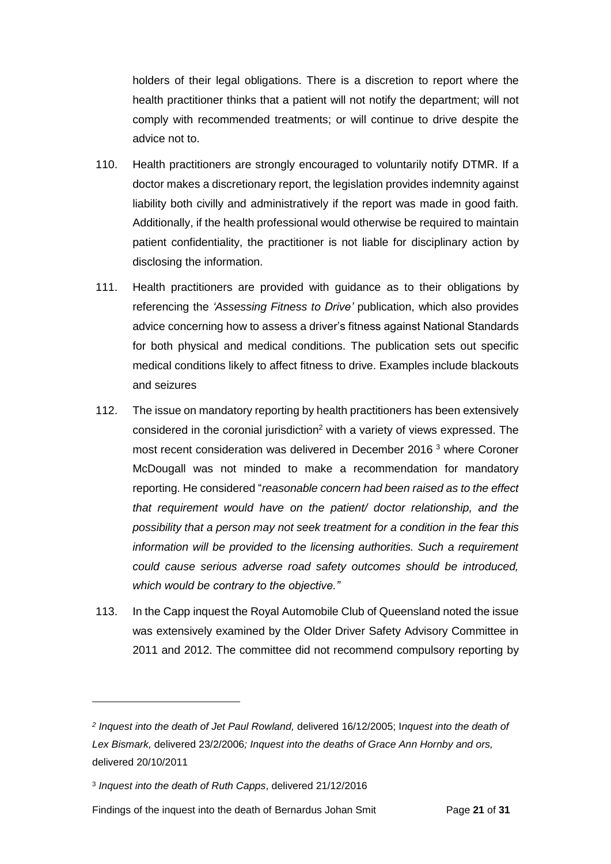holders of their legal obligations. There is a discretion to report where the health practitioner thinks that a patient will not notify the department; will not comply with recommended treatments; or will continue to drive despite the advice not to.

- 110. Health practitioners are strongly encouraged to voluntarily notify DTMR. If a doctor makes a discretionary report, the legislation provides indemnity against liability both civilly and administratively if the report was made in good faith. Additionally, if the health professional would otherwise be required to maintain patient confidentiality, the practitioner is not liable for disciplinary action by disclosing the information.
- 111. Health practitioners are provided with guidance as to their obligations by referencing the *'Assessing Fitness to Drive'* publication, which also provides advice concerning how to assess a driver's fitness against National Standards for both physical and medical conditions. The publication sets out specific medical conditions likely to affect fitness to drive. Examples include blackouts and seizures
- 112. The issue on mandatory reporting by health practitioners has been extensively considered in the coronial jurisdiction<sup>2</sup> with a variety of views expressed. The most recent consideration was delivered in December 2016 <sup>3</sup> where Coroner McDougall was not minded to make a recommendation for mandatory reporting. He considered "*reasonable concern had been raised as to the effect that requirement would have on the patient/ doctor relationship, and the possibility that a person may not seek treatment for a condition in the fear this information will be provided to the licensing authorities. Such a requirement could cause serious adverse road safety outcomes should be introduced, which would be contrary to the objective."*
- 113. In the Capp inquest the Royal Automobile Club of Queensland noted the issue was extensively examined by the Older Driver Safety Advisory Committee in 2011 and 2012. The committee did not recommend compulsory reporting by

l

*<sup>2</sup> Inquest into the death of Jet Paul Rowland,* delivered 16/12/2005; I*nquest into the death of Lex Bismark,* delivered 23/2/2006*; Inquest into the deaths of Grace Ann Hornby and ors,*  delivered 20/10/2011

<sup>3</sup> *Inquest into the death of Ruth Capps*, delivered 21/12/2016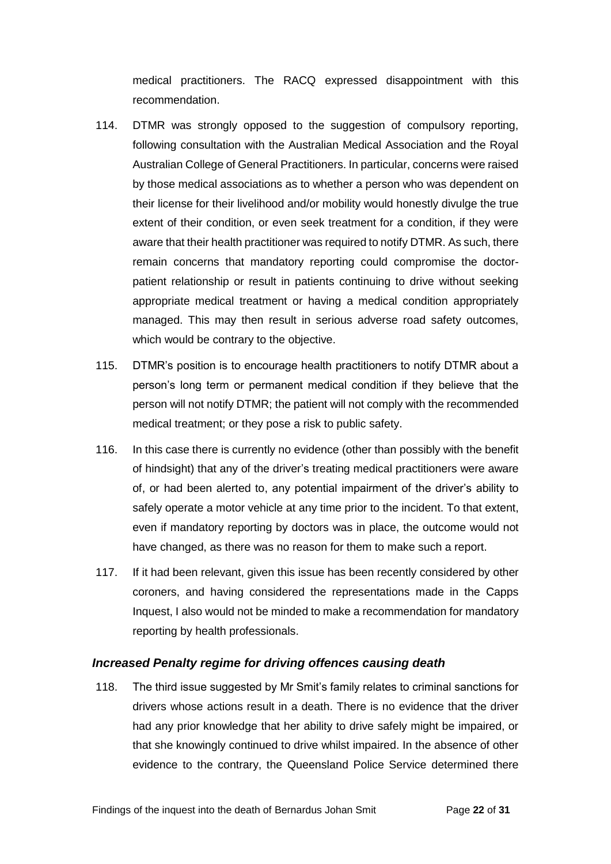medical practitioners. The RACQ expressed disappointment with this recommendation.

- 114. DTMR was strongly opposed to the suggestion of compulsory reporting, following consultation with the Australian Medical Association and the Royal Australian College of General Practitioners. In particular, concerns were raised by those medical associations as to whether a person who was dependent on their license for their livelihood and/or mobility would honestly divulge the true extent of their condition, or even seek treatment for a condition, if they were aware that their health practitioner was required to notify DTMR. As such, there remain concerns that mandatory reporting could compromise the doctorpatient relationship or result in patients continuing to drive without seeking appropriate medical treatment or having a medical condition appropriately managed. This may then result in serious adverse road safety outcomes, which would be contrary to the objective.
- 115. DTMR's position is to encourage health practitioners to notify DTMR about a person's long term or permanent medical condition if they believe that the person will not notify DTMR; the patient will not comply with the recommended medical treatment; or they pose a risk to public safety.
- 116. In this case there is currently no evidence (other than possibly with the benefit of hindsight) that any of the driver's treating medical practitioners were aware of, or had been alerted to, any potential impairment of the driver's ability to safely operate a motor vehicle at any time prior to the incident. To that extent, even if mandatory reporting by doctors was in place, the outcome would not have changed, as there was no reason for them to make such a report.
- 117. If it had been relevant, given this issue has been recently considered by other coroners, and having considered the representations made in the Capps Inquest, I also would not be minded to make a recommendation for mandatory reporting by health professionals.

#### <span id="page-23-0"></span>*Increased Penalty regime for driving offences causing death*

118. The third issue suggested by Mr Smit's family relates to criminal sanctions for drivers whose actions result in a death. There is no evidence that the driver had any prior knowledge that her ability to drive safely might be impaired, or that she knowingly continued to drive whilst impaired. In the absence of other evidence to the contrary, the Queensland Police Service determined there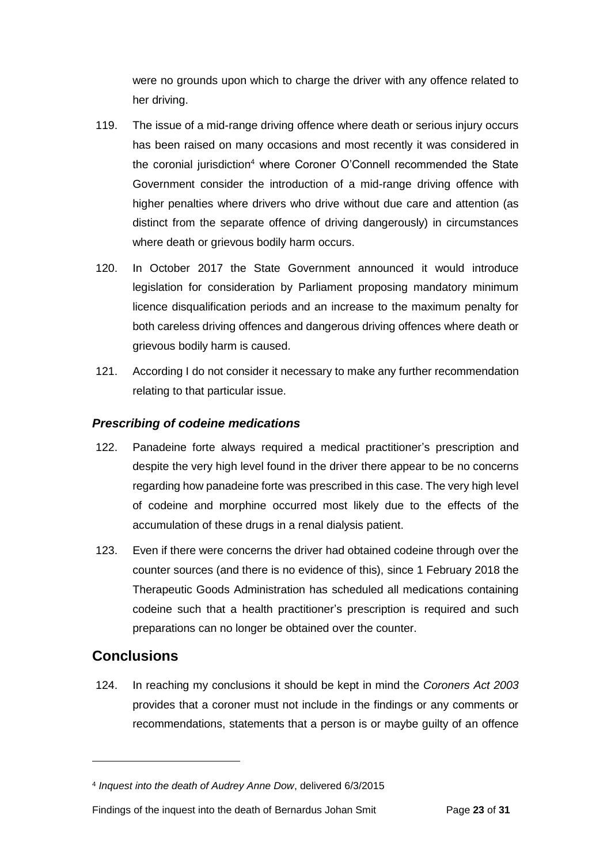were no grounds upon which to charge the driver with any offence related to her driving.

- 119. The issue of a mid-range driving offence where death or serious injury occurs has been raised on many occasions and most recently it was considered in the coronial jurisdiction<sup>4</sup> where Coroner O'Connell recommended the State Government consider the introduction of a mid-range driving offence with higher penalties where drivers who drive without due care and attention (as distinct from the separate offence of driving dangerously) in circumstances where death or grievous bodily harm occurs.
- 120. In October 2017 the State Government announced it would introduce legislation for consideration by Parliament proposing mandatory minimum licence disqualification periods and an increase to the maximum penalty for both careless driving offences and dangerous driving offences where death or grievous bodily harm is caused.
- 121. According I do not consider it necessary to make any further recommendation relating to that particular issue.

### <span id="page-24-0"></span>*Prescribing of codeine medications*

- 122. Panadeine forte always required a medical practitioner's prescription and despite the very high level found in the driver there appear to be no concerns regarding how panadeine forte was prescribed in this case. The very high level of codeine and morphine occurred most likely due to the effects of the accumulation of these drugs in a renal dialysis patient.
- 123. Even if there were concerns the driver had obtained codeine through over the counter sources (and there is no evidence of this), since 1 February 2018 the Therapeutic Goods Administration has scheduled all medications containing codeine such that a health practitioner's prescription is required and such preparations can no longer be obtained over the counter.

### <span id="page-24-1"></span>**Conclusions**

 $\overline{a}$ 

124. In reaching my conclusions it should be kept in mind the *Coroners Act 2003*  provides that a coroner must not include in the findings or any comments or recommendations, statements that a person is or maybe guilty of an offence

<sup>4</sup> *Inquest into the death of Audrey Anne Dow*, delivered 6/3/2015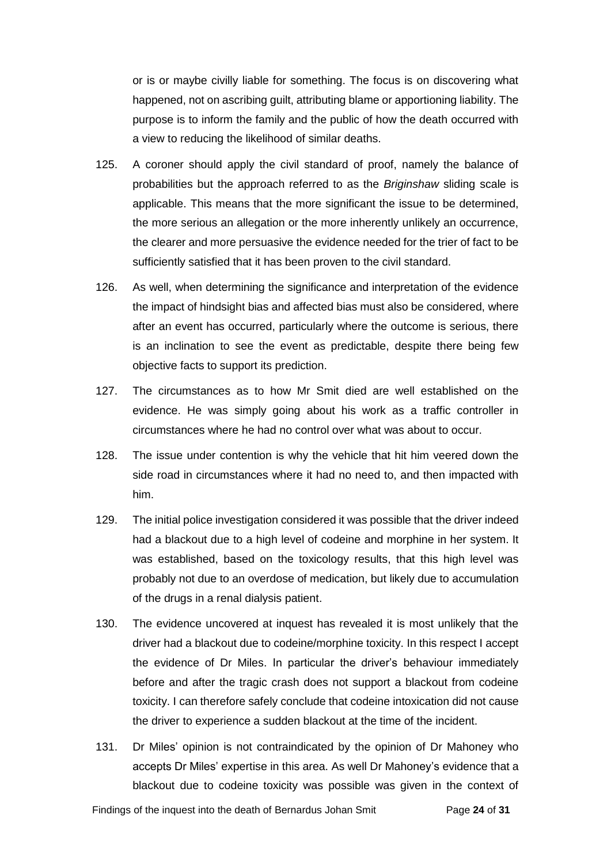or is or maybe civilly liable for something. The focus is on discovering what happened, not on ascribing guilt, attributing blame or apportioning liability. The purpose is to inform the family and the public of how the death occurred with a view to reducing the likelihood of similar deaths.

- 125. A coroner should apply the civil standard of proof, namely the balance of probabilities but the approach referred to as the *Briginshaw* sliding scale is applicable. This means that the more significant the issue to be determined, the more serious an allegation or the more inherently unlikely an occurrence, the clearer and more persuasive the evidence needed for the trier of fact to be sufficiently satisfied that it has been proven to the civil standard.
- 126. As well, when determining the significance and interpretation of the evidence the impact of hindsight bias and affected bias must also be considered, where after an event has occurred, particularly where the outcome is serious, there is an inclination to see the event as predictable, despite there being few objective facts to support its prediction.
- 127. The circumstances as to how Mr Smit died are well established on the evidence. He was simply going about his work as a traffic controller in circumstances where he had no control over what was about to occur.
- 128. The issue under contention is why the vehicle that hit him veered down the side road in circumstances where it had no need to, and then impacted with him.
- 129. The initial police investigation considered it was possible that the driver indeed had a blackout due to a high level of codeine and morphine in her system. It was established, based on the toxicology results, that this high level was probably not due to an overdose of medication, but likely due to accumulation of the drugs in a renal dialysis patient.
- 130. The evidence uncovered at inquest has revealed it is most unlikely that the driver had a blackout due to codeine/morphine toxicity. In this respect I accept the evidence of Dr Miles. In particular the driver's behaviour immediately before and after the tragic crash does not support a blackout from codeine toxicity. I can therefore safely conclude that codeine intoxication did not cause the driver to experience a sudden blackout at the time of the incident.
- 131. Dr Miles' opinion is not contraindicated by the opinion of Dr Mahoney who accepts Dr Miles' expertise in this area. As well Dr Mahoney's evidence that a blackout due to codeine toxicity was possible was given in the context of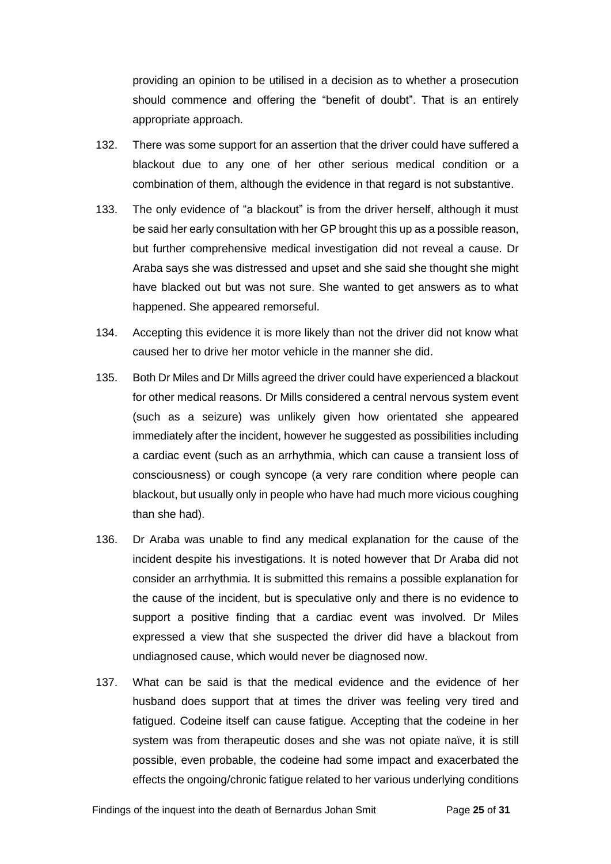providing an opinion to be utilised in a decision as to whether a prosecution should commence and offering the "benefit of doubt". That is an entirely appropriate approach.

- 132. There was some support for an assertion that the driver could have suffered a blackout due to any one of her other serious medical condition or a combination of them, although the evidence in that regard is not substantive.
- 133. The only evidence of "a blackout" is from the driver herself, although it must be said her early consultation with her GP brought this up as a possible reason, but further comprehensive medical investigation did not reveal a cause. Dr Araba says she was distressed and upset and she said she thought she might have blacked out but was not sure. She wanted to get answers as to what happened. She appeared remorseful.
- 134. Accepting this evidence it is more likely than not the driver did not know what caused her to drive her motor vehicle in the manner she did.
- 135. Both Dr Miles and Dr Mills agreed the driver could have experienced a blackout for other medical reasons. Dr Mills considered a central nervous system event (such as a seizure) was unlikely given how orientated she appeared immediately after the incident, however he suggested as possibilities including a cardiac event (such as an arrhythmia, which can cause a transient loss of consciousness) or cough syncope (a very rare condition where people can blackout, but usually only in people who have had much more vicious coughing than she had).
- 136. Dr Araba was unable to find any medical explanation for the cause of the incident despite his investigations. It is noted however that Dr Araba did not consider an arrhythmia. It is submitted this remains a possible explanation for the cause of the incident, but is speculative only and there is no evidence to support a positive finding that a cardiac event was involved. Dr Miles expressed a view that she suspected the driver did have a blackout from undiagnosed cause, which would never be diagnosed now.
- 137. What can be said is that the medical evidence and the evidence of her husband does support that at times the driver was feeling very tired and fatigued. Codeine itself can cause fatigue. Accepting that the codeine in her system was from therapeutic doses and she was not opiate naïve, it is still possible, even probable, the codeine had some impact and exacerbated the effects the ongoing/chronic fatigue related to her various underlying conditions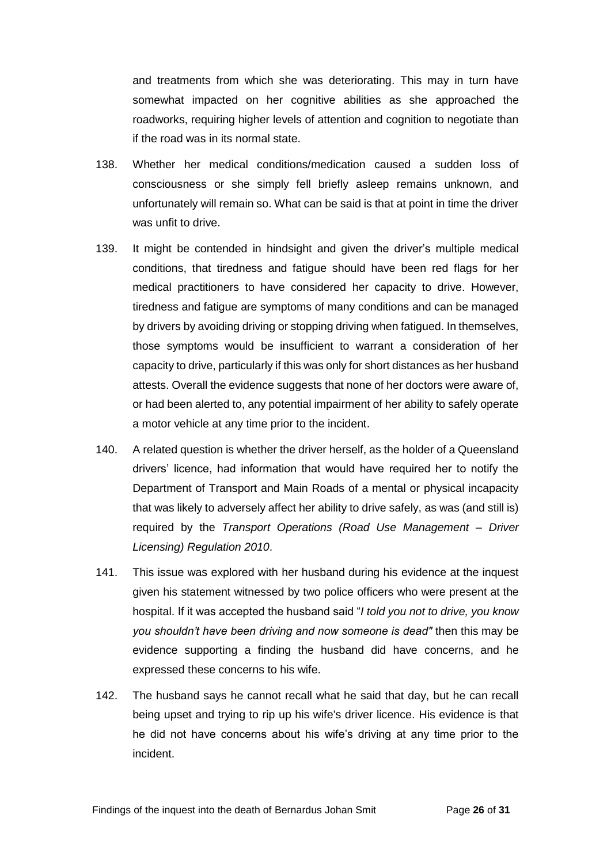and treatments from which she was deteriorating. This may in turn have somewhat impacted on her cognitive abilities as she approached the roadworks, requiring higher levels of attention and cognition to negotiate than if the road was in its normal state.

- 138. Whether her medical conditions/medication caused a sudden loss of consciousness or she simply fell briefly asleep remains unknown, and unfortunately will remain so. What can be said is that at point in time the driver was unfit to drive.
- 139. It might be contended in hindsight and given the driver's multiple medical conditions, that tiredness and fatigue should have been red flags for her medical practitioners to have considered her capacity to drive. However, tiredness and fatigue are symptoms of many conditions and can be managed by drivers by avoiding driving or stopping driving when fatigued. In themselves, those symptoms would be insufficient to warrant a consideration of her capacity to drive, particularly if this was only for short distances as her husband attests. Overall the evidence suggests that none of her doctors were aware of, or had been alerted to, any potential impairment of her ability to safely operate a motor vehicle at any time prior to the incident.
- 140. A related question is whether the driver herself, as the holder of a Queensland drivers' licence, had information that would have required her to notify the Department of Transport and Main Roads of a mental or physical incapacity that was likely to adversely affect her ability to drive safely, as was (and still is) required by the *Transport Operations (Road Use Management – Driver Licensing) Regulation 2010*.
- 141. This issue was explored with her husband during his evidence at the inquest given his statement witnessed by two police officers who were present at the hospital. If it was accepted the husband said "*I told you not to drive, you know you shouldn't have been driving and now someone is dead"* then this may be evidence supporting a finding the husband did have concerns, and he expressed these concerns to his wife.
- 142. The husband says he cannot recall what he said that day, but he can recall being upset and trying to rip up his wife's driver licence. His evidence is that he did not have concerns about his wife's driving at any time prior to the incident.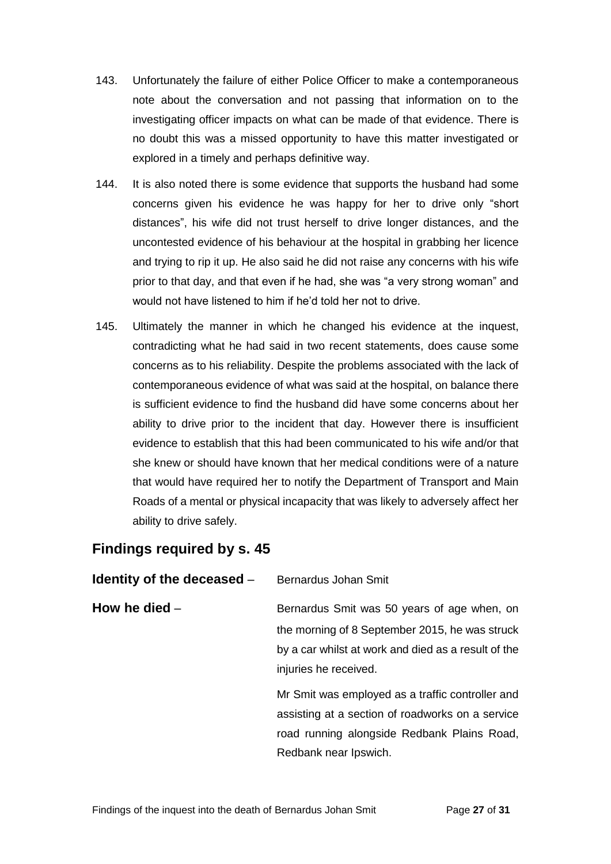- 143. Unfortunately the failure of either Police Officer to make a contemporaneous note about the conversation and not passing that information on to the investigating officer impacts on what can be made of that evidence. There is no doubt this was a missed opportunity to have this matter investigated or explored in a timely and perhaps definitive way.
- 144. It is also noted there is some evidence that supports the husband had some concerns given his evidence he was happy for her to drive only "short distances", his wife did not trust herself to drive longer distances, and the uncontested evidence of his behaviour at the hospital in grabbing her licence and trying to rip it up. He also said he did not raise any concerns with his wife prior to that day, and that even if he had, she was "a very strong woman" and would not have listened to him if he'd told her not to drive.
- 145. Ultimately the manner in which he changed his evidence at the inquest, contradicting what he had said in two recent statements, does cause some concerns as to his reliability. Despite the problems associated with the lack of contemporaneous evidence of what was said at the hospital, on balance there is sufficient evidence to find the husband did have some concerns about her ability to drive prior to the incident that day. However there is insufficient evidence to establish that this had been communicated to his wife and/or that she knew or should have known that her medical conditions were of a nature that would have required her to notify the Department of Transport and Main Roads of a mental or physical incapacity that was likely to adversely affect her ability to drive safely.

## <span id="page-28-0"></span>**Findings required by s. 45**

<span id="page-28-2"></span><span id="page-28-1"></span>

| Identity of the deceased $-$ | Bernardus Johan Smit                                |
|------------------------------|-----------------------------------------------------|
| How he died $-$              | Bernardus Smit was 50 years of age when, on         |
|                              | the morning of 8 September 2015, he was struck      |
|                              | by a car whilst at work and died as a result of the |
|                              | injuries he received.                               |
|                              | Mr Smit was employed as a traffic controller and    |
|                              | assisting at a section of roadworks on a service    |
|                              | road running alongside Redbank Plains Road,         |

Redbank near Ipswich.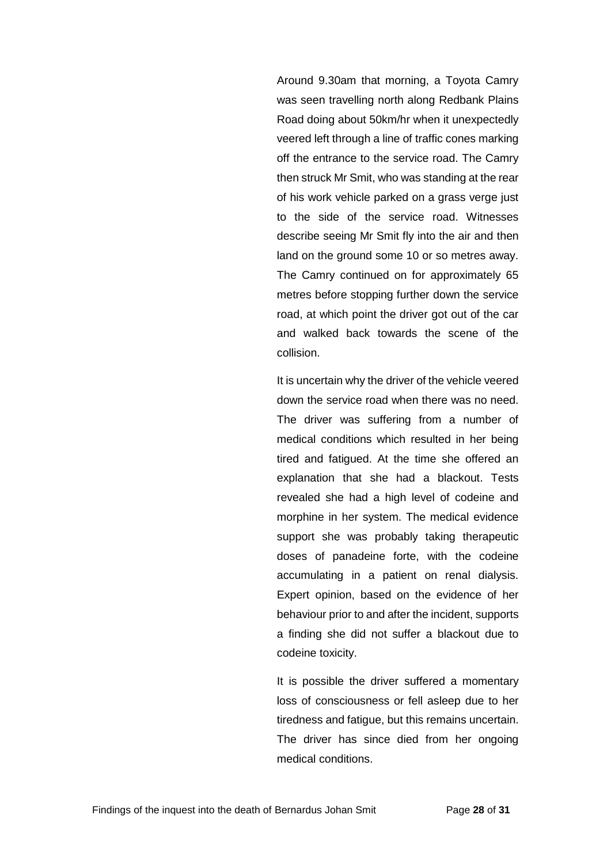Around 9.30am that morning, a Toyota Camry was seen travelling north along Redbank Plains Road doing about 50km/hr when it unexpectedly veered left through a line of traffic cones marking off the entrance to the service road. The Camry then struck Mr Smit, who was standing at the rear of his work vehicle parked on a grass verge just to the side of the service road. Witnesses describe seeing Mr Smit fly into the air and then land on the ground some 10 or so metres away. The Camry continued on for approximately 65 metres before stopping further down the service road, at which point the driver got out of the car and walked back towards the scene of the collision.

It is uncertain why the driver of the vehicle veered down the service road when there was no need. The driver was suffering from a number of medical conditions which resulted in her being tired and fatigued. At the time she offered an explanation that she had a blackout. Tests revealed she had a high level of codeine and morphine in her system. The medical evidence support she was probably taking therapeutic doses of panadeine forte, with the codeine accumulating in a patient on renal dialysis. Expert opinion, based on the evidence of her behaviour prior to and after the incident, supports a finding she did not suffer a blackout due to codeine toxicity.

It is possible the driver suffered a momentary loss of consciousness or fell asleep due to her tiredness and fatigue, but this remains uncertain. The driver has since died from her ongoing medical conditions.